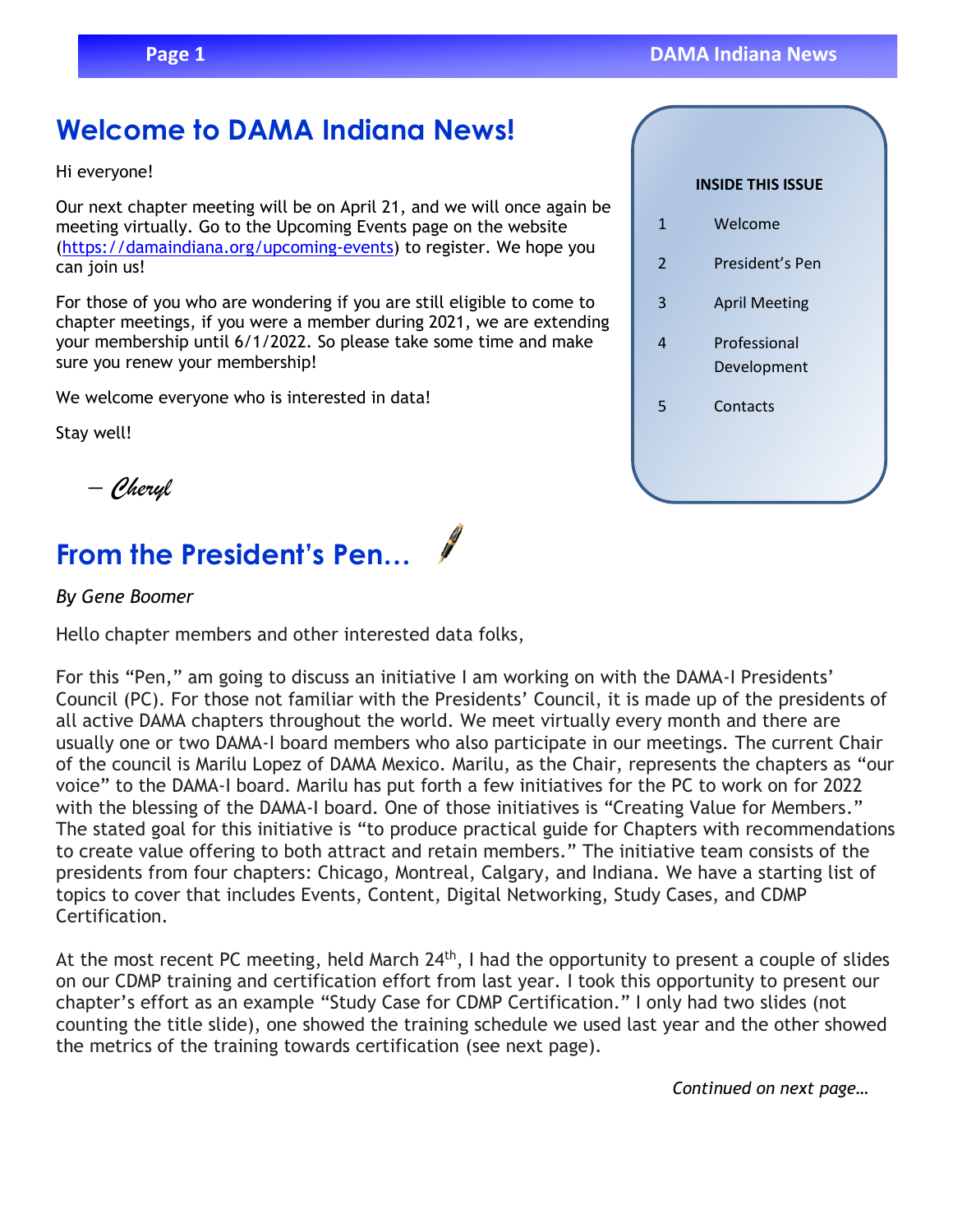# **Welcome to DAMA Indiana News!**

Hi everyone!

Our next chapter meeting will be on April 21, and we will once again be meeting virtually. Go to the Upcoming Events page on the website [\(https://damaindiana.org/upcoming-events\)](https://damaindiana.org/upcoming-events) to register. We hope you can join us!

For those of you who are wondering if you are still eligible to come to chapter meetings, if you were a member during 2021, we are extending your membership until 6/1/2022. So please take some time and make sure you renew your membership!

We welcome everyone who is interested in data!

Stay well!

*– Cheryl*

# **From the President's Pen…**

#### *By Gene Boomer*

Hello chapter members and other interested data folks,

For this "Pen," am going to discuss an initiative I am working on with the DAMA-I Presidents' Council (PC). For those not familiar with the Presidents' Council, it is made up of the presidents of all active DAMA chapters throughout the world. We meet virtually every month and there are usually one or two DAMA-I board members who also participate in our meetings. The current Chair of the council is Marilu Lopez of DAMA Mexico. Marilu, as the Chair, represents the chapters as "our voice" to the DAMA-I board. Marilu has put forth a few initiatives for the PC to work on for 2022 with the blessing of the DAMA-I board. One of those initiatives is "Creating Value for Members." The stated goal for this initiative is "to produce practical guide for Chapters with recommendations to create value offering to both attract and retain members." The initiative team consists of the presidents from four chapters: Chicago, Montreal, Calgary, and Indiana. We have a starting list of topics to cover that includes Events, Content, Digital Networking, Study Cases, and CDMP Certification.

At the most recent PC meeting, held March  $24<sup>th</sup>$ , I had the opportunity to present a couple of slides on our CDMP training and certification effort from last year. I took this opportunity to present our chapter's effort as an example "Study Case for CDMP Certification." I only had two slides (not counting the title slide), one showed the training schedule we used last year and the other showed the metrics of the training towards certification (see next page).

*Continued on next page…*

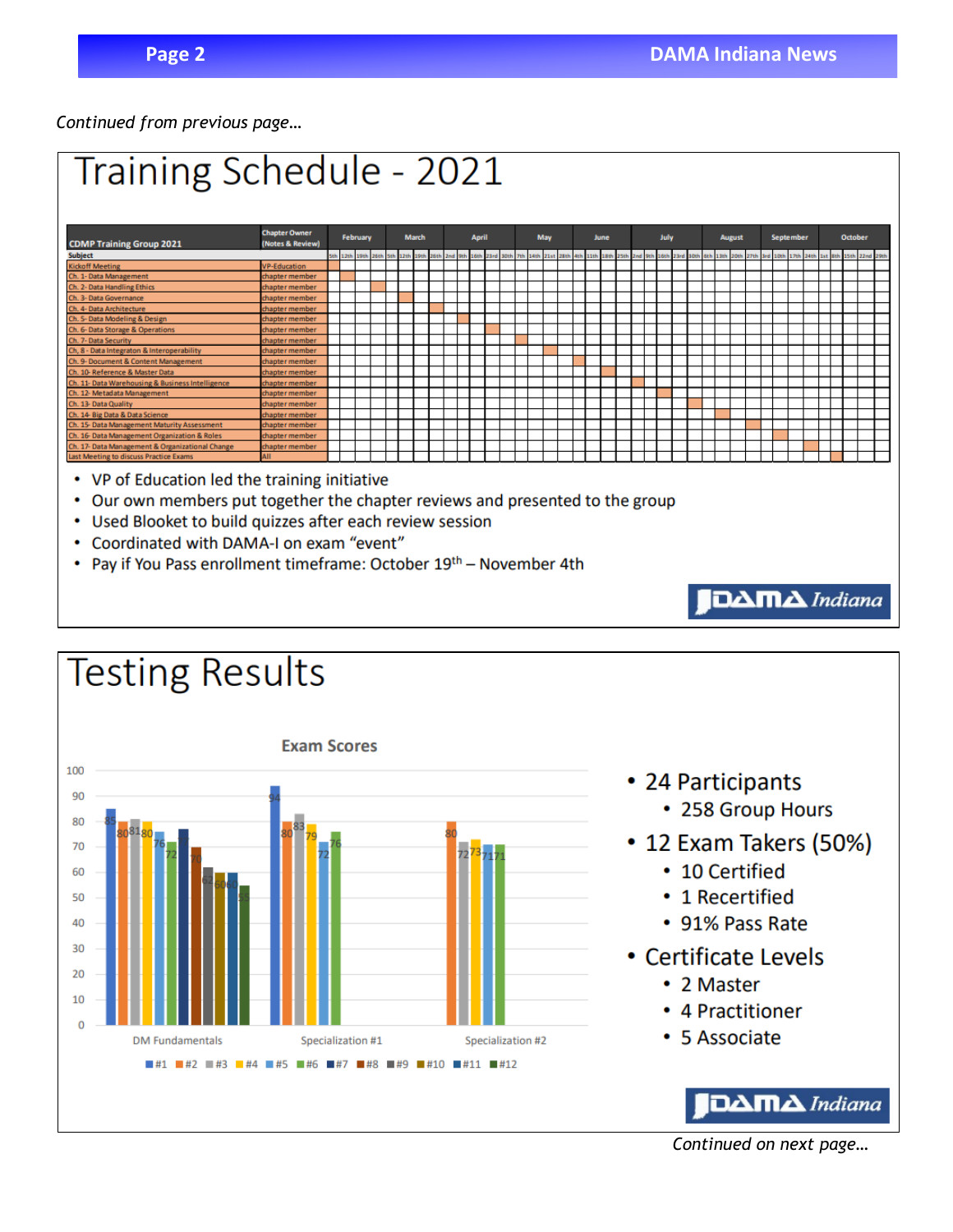*Continued from previous page…*



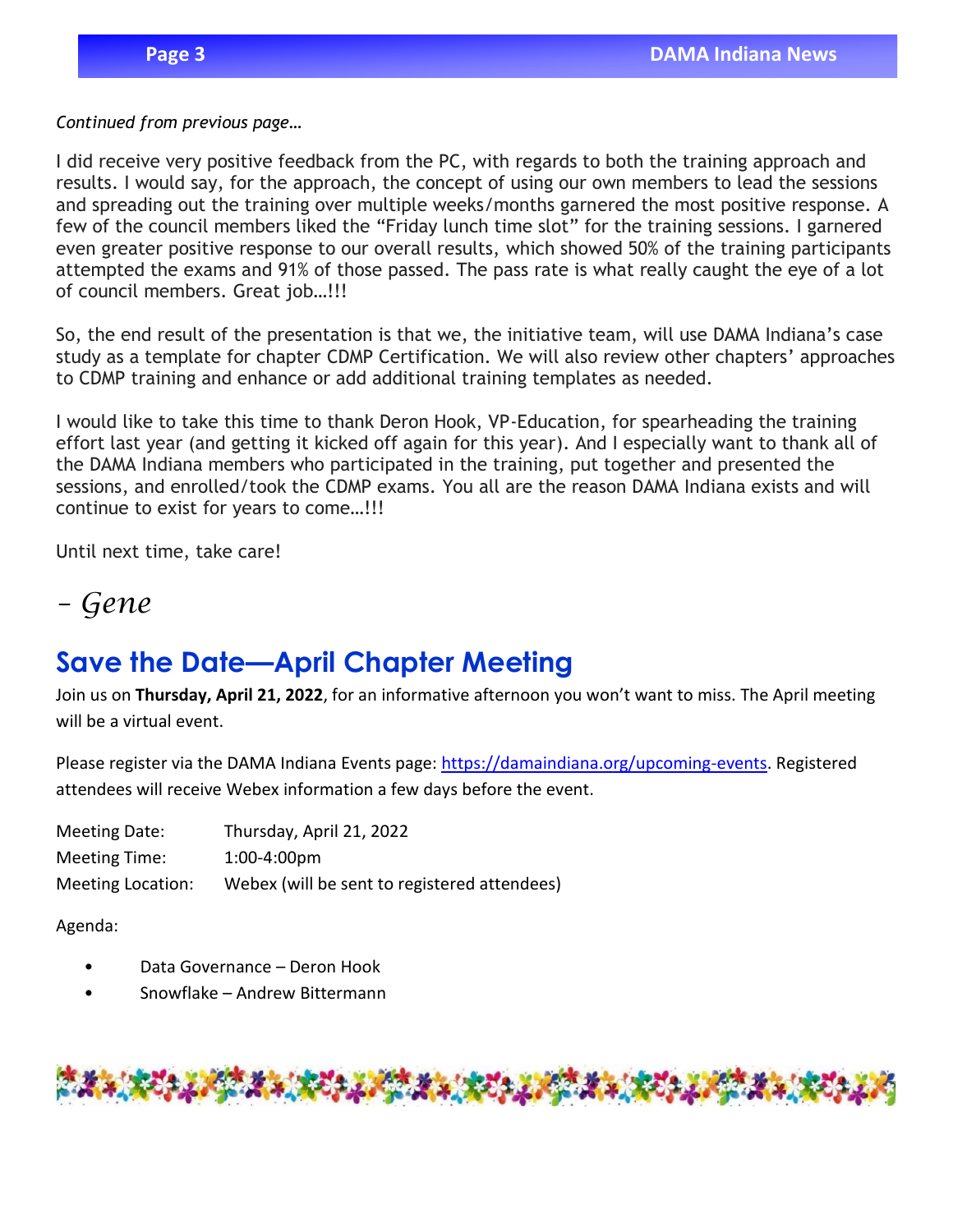#### *Continued from previous page…*

I did receive very positive feedback from the PC, with regards to both the training approach and results. I would say, for the approach, the concept of using our own members to lead the sessions and spreading out the training over multiple weeks/months garnered the most positive response. A few of the council members liked the "Friday lunch time slot" for the training sessions. I garnered even greater positive response to our overall results, which showed 50% of the training participants attempted the exams and 91% of those passed. The pass rate is what really caught the eye of a lot of council members. Great job…!!!

So, the end result of the presentation is that we, the initiative team, will use DAMA Indiana's case study as a template for chapter CDMP Certification. We will also review other chapters' approaches to CDMP training and enhance or add additional training templates as needed.

I would like to take this time to thank Deron Hook, VP-Education, for spearheading the training effort last year (and getting it kicked off again for this year). And I especially want to thank all of the DAMA Indiana members who participated in the training, put together and presented the sessions, and enrolled/took the CDMP exams. You all are the reason DAMA Indiana exists and will continue to exist for years to come…!!!

Until next time, take care!

### *– Gene*

## **Save the Date—April Chapter Meeting**

Join us on **Thursday, April 21, 2022**, for an informative afternoon you won't want to miss. The April meeting will be a virtual event.

Please register via the DAMA Indiana Events page: [https://damaindiana.org/upcoming-events.](https://damaindiana.org/upcoming-events) Registered attendees will receive Webex information a few days before the event.

| Meeting Date:     | Thursday, April 21, 2022                     |
|-------------------|----------------------------------------------|
| Meeting Time:     | $1:00-4:00 \text{pm}$                        |
| Meeting Location: | Webex (will be sent to registered attendees) |

Agenda:

- Data Governance Deron Hook
- Snowflake Andrew Bittermann

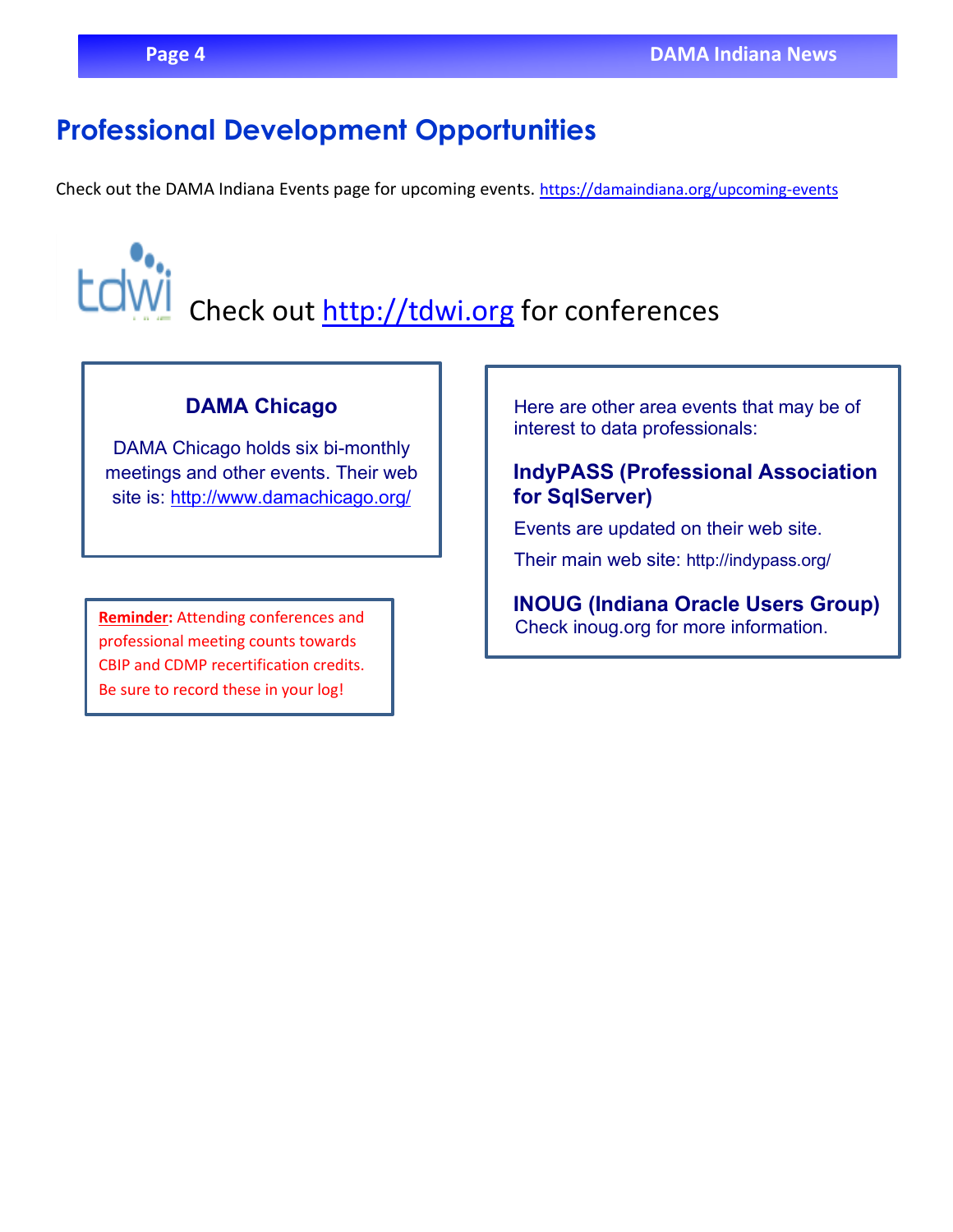## **Professional Development Opportunities**

Check out the DAMA Indiana Events page for upcoming events. <https://damaindiana.org/upcoming-events>

Check out [http://tdwi.org](http://tdwi.org/) for conferences

#### **DAMA Chicago**

DAMA Chicago holds six bi-monthly meetings and other events. Their web site is:<http://www.damachicago.org/>

professional meeting counts towards CBIP and CDMP recertification credits. Be sure to record these in your log!

Here are other area events that may be of interest to data professionals:

#### **IndyPASS (Professional Association for SqlServer)**

Events are updated on their web site.

Their main web site: [http://indypass.org/](http://indiana.sqlpass.org/)

**INOUG (Indiana Oracle Users Group)** Reminder: Attending conferences and **Reminder: Attending conferences and Check inoug org for more information.**